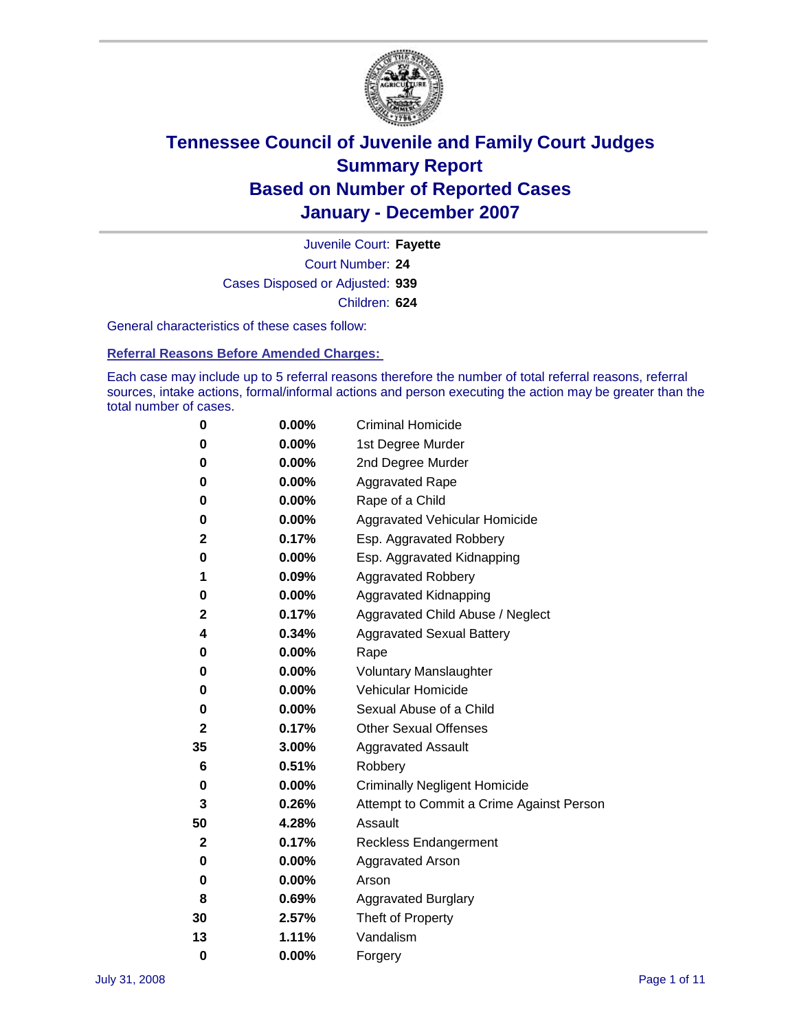

Court Number: **24** Juvenile Court: **Fayette** Cases Disposed or Adjusted: **939** Children: **624**

General characteristics of these cases follow:

**Referral Reasons Before Amended Charges:** 

Each case may include up to 5 referral reasons therefore the number of total referral reasons, referral sources, intake actions, formal/informal actions and person executing the action may be greater than the total number of cases.

| 0        | 0.00%    | <b>Criminal Homicide</b>                 |
|----------|----------|------------------------------------------|
| 0        | 0.00%    | 1st Degree Murder                        |
| 0        | 0.00%    | 2nd Degree Murder                        |
| 0        | 0.00%    | <b>Aggravated Rape</b>                   |
| 0        | 0.00%    | Rape of a Child                          |
| 0        | 0.00%    | Aggravated Vehicular Homicide            |
| 2        | 0.17%    | Esp. Aggravated Robbery                  |
| 0        | 0.00%    | Esp. Aggravated Kidnapping               |
| 1        | 0.09%    | <b>Aggravated Robbery</b>                |
| 0        | 0.00%    | Aggravated Kidnapping                    |
| 2        | 0.17%    | Aggravated Child Abuse / Neglect         |
| 4        | 0.34%    | <b>Aggravated Sexual Battery</b>         |
| 0        | 0.00%    | Rape                                     |
| 0        | 0.00%    | <b>Voluntary Manslaughter</b>            |
| 0        | 0.00%    | Vehicular Homicide                       |
| 0        | 0.00%    | Sexual Abuse of a Child                  |
| 2        | 0.17%    | <b>Other Sexual Offenses</b>             |
| 35       | 3.00%    | <b>Aggravated Assault</b>                |
| 6        | 0.51%    | Robbery                                  |
| 0        | 0.00%    | <b>Criminally Negligent Homicide</b>     |
| 3        | 0.26%    | Attempt to Commit a Crime Against Person |
| 50       | 4.28%    | Assault                                  |
| 2        | 0.17%    | <b>Reckless Endangerment</b>             |
| 0        | $0.00\%$ | <b>Aggravated Arson</b>                  |
| 0        | 0.00%    | Arson                                    |
| 8        | 0.69%    | <b>Aggravated Burglary</b>               |
| 30       | 2.57%    | Theft of Property                        |
| 13       | 1.11%    | Vandalism                                |
| $\bf{0}$ | 0.00%    | Forgery                                  |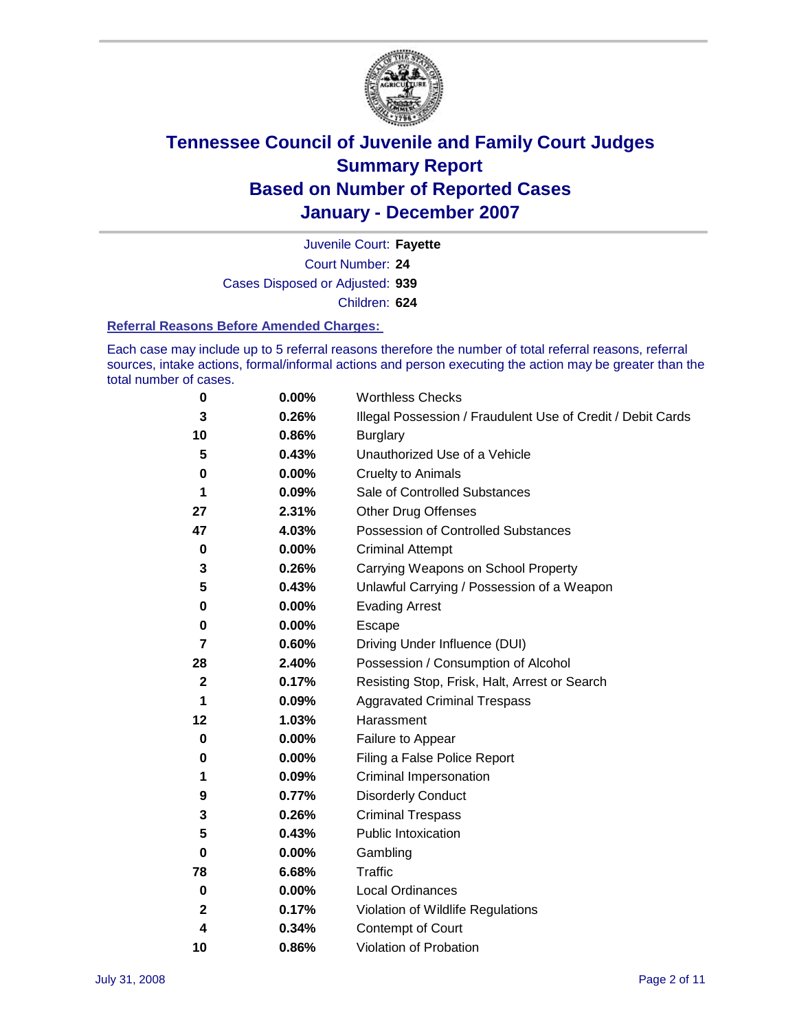

Court Number: **24** Juvenile Court: **Fayette** Cases Disposed or Adjusted: **939** Children: **624**

#### **Referral Reasons Before Amended Charges:**

Each case may include up to 5 referral reasons therefore the number of total referral reasons, referral sources, intake actions, formal/informal actions and person executing the action may be greater than the total number of cases.

| 0           | 0.00% | <b>Worthless Checks</b>                                     |
|-------------|-------|-------------------------------------------------------------|
| 3           | 0.26% | Illegal Possession / Fraudulent Use of Credit / Debit Cards |
| 10          | 0.86% | <b>Burglary</b>                                             |
| 5           | 0.43% | Unauthorized Use of a Vehicle                               |
| 0           | 0.00% | <b>Cruelty to Animals</b>                                   |
| 1           | 0.09% | Sale of Controlled Substances                               |
| 27          | 2.31% | <b>Other Drug Offenses</b>                                  |
| 47          | 4.03% | <b>Possession of Controlled Substances</b>                  |
| $\pmb{0}$   | 0.00% | <b>Criminal Attempt</b>                                     |
| 3           | 0.26% | Carrying Weapons on School Property                         |
| 5           | 0.43% | Unlawful Carrying / Possession of a Weapon                  |
| 0           | 0.00% | <b>Evading Arrest</b>                                       |
| 0           | 0.00% | Escape                                                      |
| 7           | 0.60% | Driving Under Influence (DUI)                               |
| 28          | 2.40% | Possession / Consumption of Alcohol                         |
| $\mathbf 2$ | 0.17% | Resisting Stop, Frisk, Halt, Arrest or Search               |
| 1           | 0.09% | <b>Aggravated Criminal Trespass</b>                         |
| 12          | 1.03% | Harassment                                                  |
| 0           | 0.00% | Failure to Appear                                           |
| 0           | 0.00% | Filing a False Police Report                                |
| 1           | 0.09% | Criminal Impersonation                                      |
| 9           | 0.77% | <b>Disorderly Conduct</b>                                   |
| 3           | 0.26% | <b>Criminal Trespass</b>                                    |
| 5           | 0.43% | <b>Public Intoxication</b>                                  |
| $\bf{0}$    | 0.00% | Gambling                                                    |
| 78          | 6.68% | Traffic                                                     |
| 0           | 0.00% | <b>Local Ordinances</b>                                     |
| 2           | 0.17% | Violation of Wildlife Regulations                           |
| 4           | 0.34% | Contempt of Court                                           |
| 10          | 0.86% | Violation of Probation                                      |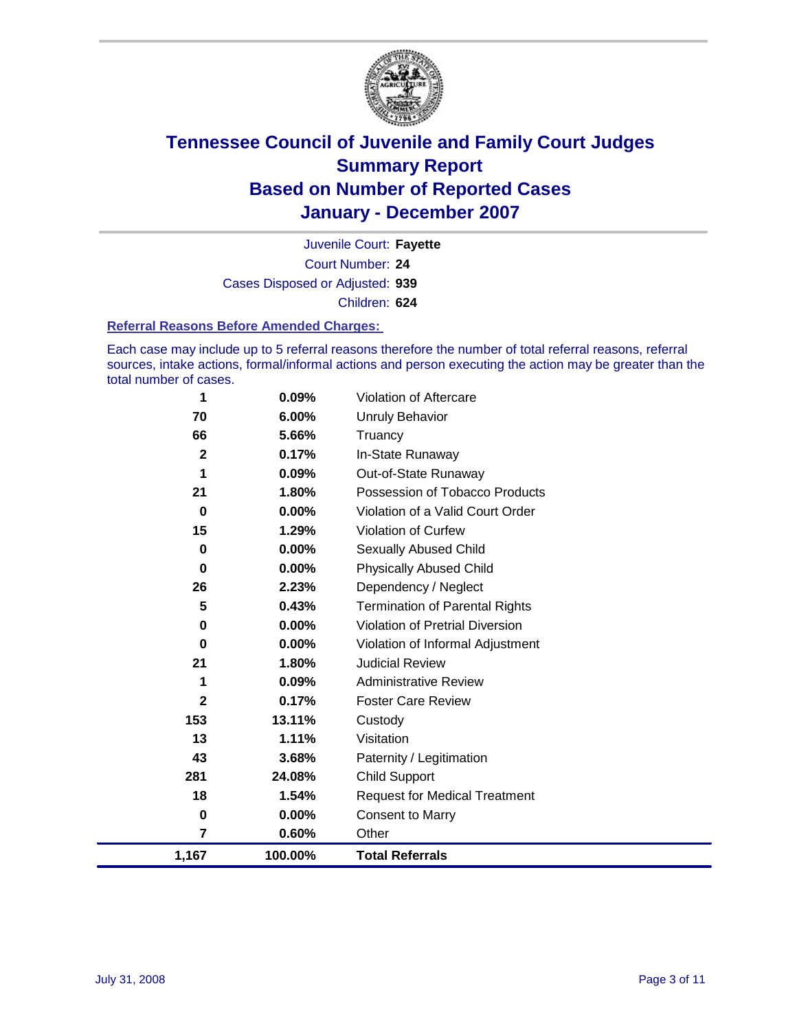

Court Number: **24** Juvenile Court: **Fayette** Cases Disposed or Adjusted: **939** Children: **624**

#### **Referral Reasons Before Amended Charges:**

Each case may include up to 5 referral reasons therefore the number of total referral reasons, referral sources, intake actions, formal/informal actions and person executing the action may be greater than the total number of cases.

| 1              | 0.09%    | Violation of Aftercare                 |
|----------------|----------|----------------------------------------|
| 70             | 6.00%    | <b>Unruly Behavior</b>                 |
| 66             | 5.66%    | Truancy                                |
| $\overline{2}$ | 0.17%    | In-State Runaway                       |
| 1              | 0.09%    | Out-of-State Runaway                   |
| 21             | 1.80%    | Possession of Tobacco Products         |
| 0              | 0.00%    | Violation of a Valid Court Order       |
| 15             | 1.29%    | <b>Violation of Curfew</b>             |
| 0              | $0.00\%$ | Sexually Abused Child                  |
| 0              | $0.00\%$ | <b>Physically Abused Child</b>         |
| 26             | 2.23%    | Dependency / Neglect                   |
| 5              | 0.43%    | <b>Termination of Parental Rights</b>  |
| 0              | $0.00\%$ | <b>Violation of Pretrial Diversion</b> |
| 0              | 0.00%    | Violation of Informal Adjustment       |
| 21             | 1.80%    | <b>Judicial Review</b>                 |
| 1              | 0.09%    | <b>Administrative Review</b>           |
| $\mathbf 2$    | 0.17%    | <b>Foster Care Review</b>              |
| 153            | 13.11%   | Custody                                |
| 13             | 1.11%    | Visitation                             |
| 43             | 3.68%    | Paternity / Legitimation               |
| 281            | 24.08%   | <b>Child Support</b>                   |
| 18             | 1.54%    | <b>Request for Medical Treatment</b>   |
| 0              | 0.00%    | <b>Consent to Marry</b>                |
| $\overline{7}$ | 0.60%    | Other                                  |
| 1,167          | 100.00%  | <b>Total Referrals</b>                 |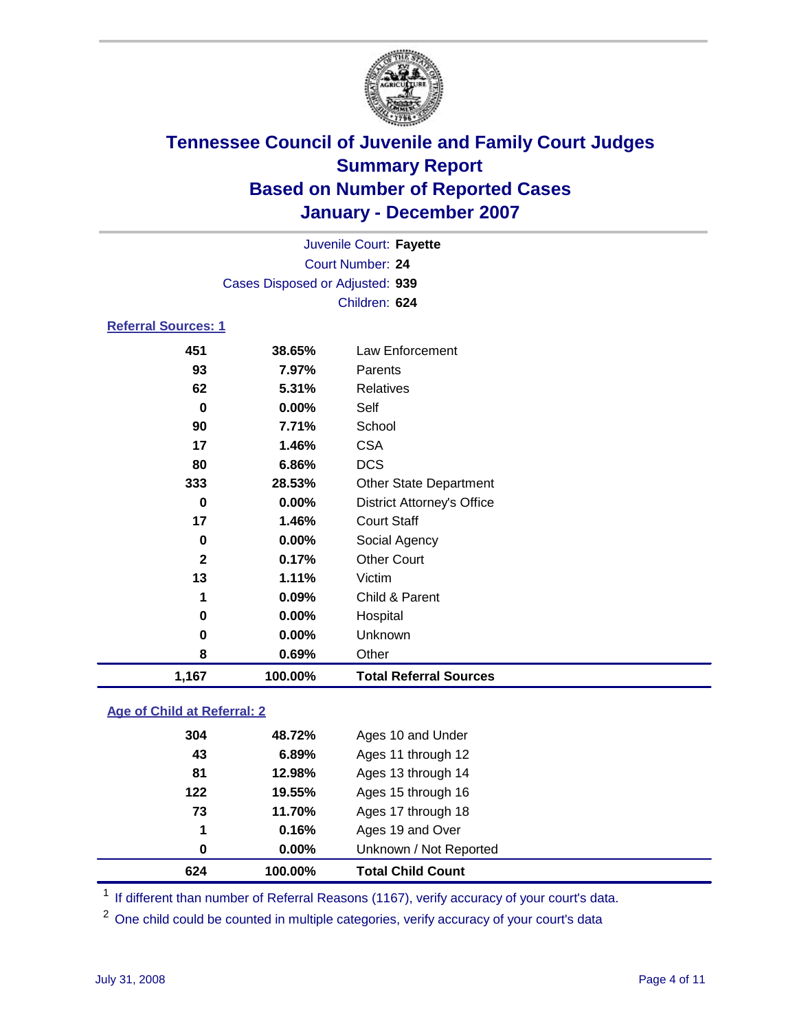

|                            | Juvenile Court: Fayette         |                                   |  |  |  |
|----------------------------|---------------------------------|-----------------------------------|--|--|--|
|                            | Court Number: 24                |                                   |  |  |  |
|                            | Cases Disposed or Adjusted: 939 |                                   |  |  |  |
|                            |                                 | Children: 624                     |  |  |  |
| <b>Referral Sources: 1</b> |                                 |                                   |  |  |  |
| 451                        | 38.65%                          | Law Enforcement                   |  |  |  |
| 93                         | 7.97%                           | Parents                           |  |  |  |
| 62                         | 5.31%                           | Relatives                         |  |  |  |
| 0                          | 0.00%                           | Self                              |  |  |  |
| 90                         | 7.71%                           | School                            |  |  |  |
| 17                         | 1.46%                           | <b>CSA</b>                        |  |  |  |
| 80                         | 6.86%                           | <b>DCS</b>                        |  |  |  |
| 333                        | 28.53%                          | <b>Other State Department</b>     |  |  |  |
| 0                          | $0.00\%$                        | <b>District Attorney's Office</b> |  |  |  |
| 17                         | 1.46%                           | <b>Court Staff</b>                |  |  |  |
| 0                          | 0.00%                           | Social Agency                     |  |  |  |
| $\mathbf{2}$               | 0.17%                           | <b>Other Court</b>                |  |  |  |
| 13                         | 1.11%                           | Victim                            |  |  |  |
| 1                          | 0.09%                           | Child & Parent                    |  |  |  |
| 0                          | 0.00%                           | Hospital                          |  |  |  |
| 0                          | 0.00%                           | Unknown                           |  |  |  |

 **0.69%** Other **1,167 100.00% Total Referral Sources**

### **Age of Child at Referral: 2**

| 624 | 100.00% | <b>Total Child Count</b> |  |
|-----|---------|--------------------------|--|
| 0   | 0.00%   | Unknown / Not Reported   |  |
| 1   | 0.16%   | Ages 19 and Over         |  |
| 73  | 11.70%  | Ages 17 through 18       |  |
| 122 | 19.55%  | Ages 15 through 16       |  |
| 81  | 12.98%  | Ages 13 through 14       |  |
| 43  | 6.89%   | Ages 11 through 12       |  |
| 304 | 48.72%  | Ages 10 and Under        |  |
|     |         |                          |  |

<sup>1</sup> If different than number of Referral Reasons (1167), verify accuracy of your court's data.

<sup>2</sup> One child could be counted in multiple categories, verify accuracy of your court's data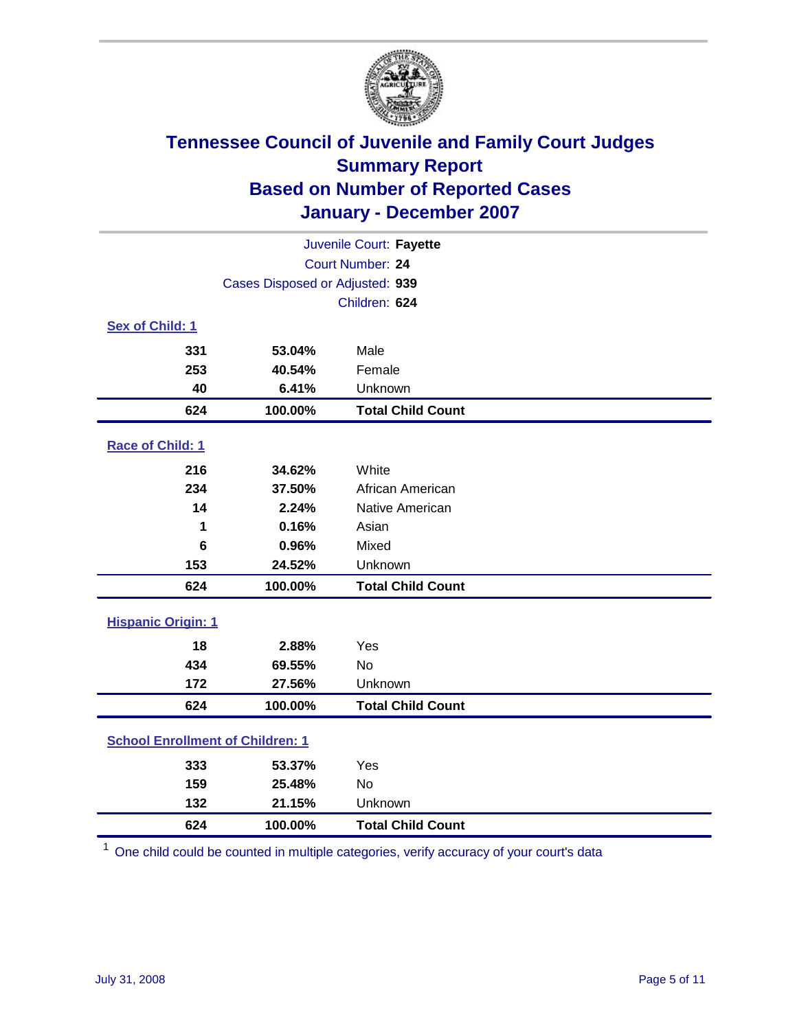

| Juvenile Court: Fayette                 |                                 |                          |  |  |
|-----------------------------------------|---------------------------------|--------------------------|--|--|
| Court Number: 24                        |                                 |                          |  |  |
|                                         | Cases Disposed or Adjusted: 939 |                          |  |  |
|                                         |                                 | Children: 624            |  |  |
| Sex of Child: 1                         |                                 |                          |  |  |
| 331                                     | 53.04%                          | Male                     |  |  |
| 253                                     | 40.54%                          | Female                   |  |  |
| 40                                      | 6.41%                           | Unknown                  |  |  |
| 624                                     | 100.00%                         | <b>Total Child Count</b> |  |  |
| Race of Child: 1                        |                                 |                          |  |  |
| 216                                     | 34.62%                          | White                    |  |  |
| 234                                     | 37.50%                          | African American         |  |  |
| 14                                      | 2.24%                           | Native American          |  |  |
| 1                                       | 0.16%                           | Asian                    |  |  |
| 6                                       | 0.96%                           | Mixed                    |  |  |
| 153                                     | 24.52%                          | Unknown                  |  |  |
| 624                                     | 100.00%                         | <b>Total Child Count</b> |  |  |
| <b>Hispanic Origin: 1</b>               |                                 |                          |  |  |
| 18                                      | 2.88%                           | Yes                      |  |  |
| 434                                     | 69.55%                          | <b>No</b>                |  |  |
| 172                                     | 27.56%                          | Unknown                  |  |  |
| 624                                     | 100.00%                         | <b>Total Child Count</b> |  |  |
| <b>School Enrollment of Children: 1</b> |                                 |                          |  |  |
| 333                                     | 53.37%                          | Yes                      |  |  |
| 159                                     | 25.48%                          | No                       |  |  |
| 132                                     | 21.15%                          | Unknown                  |  |  |
| 624                                     | 100.00%                         | <b>Total Child Count</b> |  |  |

One child could be counted in multiple categories, verify accuracy of your court's data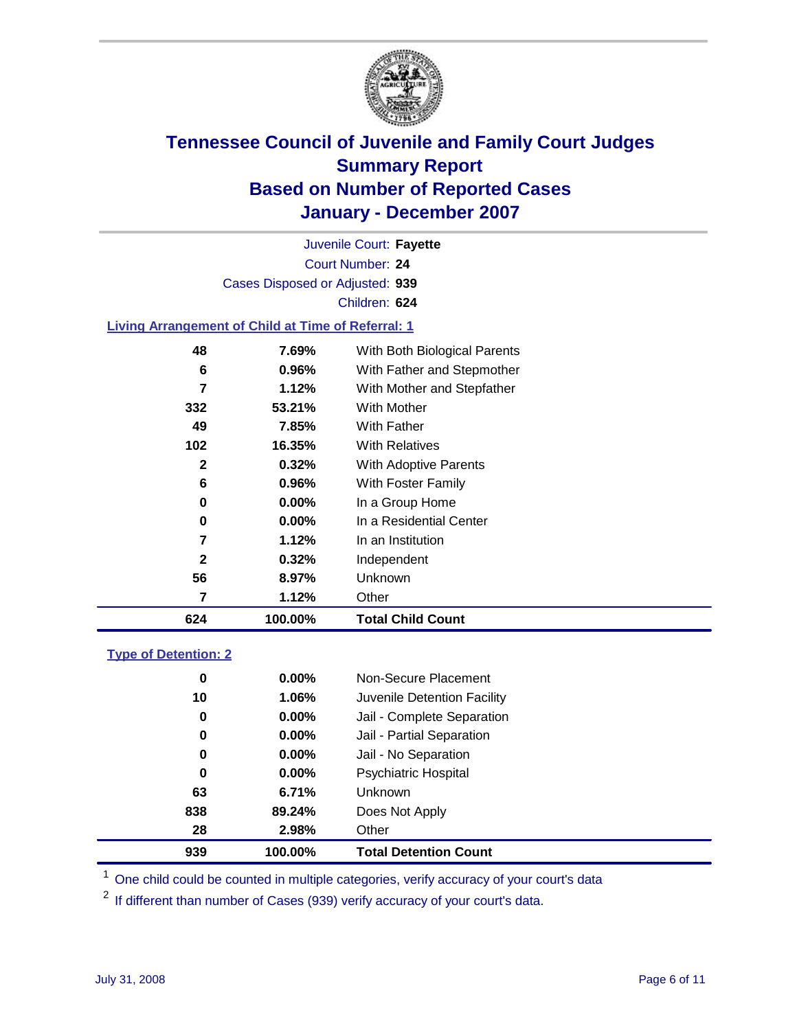

Court Number: **24** Juvenile Court: **Fayette** Cases Disposed or Adjusted: **939** Children: **624**

### **Living Arrangement of Child at Time of Referral: 1**

| 624 | 100.00%  | <b>Total Child Count</b>     |
|-----|----------|------------------------------|
| 7   | 1.12%    | Other                        |
| 56  | 8.97%    | Unknown                      |
| 2   | 0.32%    | Independent                  |
| 7   | 1.12%    | In an Institution            |
| 0   | $0.00\%$ | In a Residential Center      |
| 0   | 0.00%    | In a Group Home              |
| 6   | 0.96%    | With Foster Family           |
| 2   | 0.32%    | With Adoptive Parents        |
| 102 | 16.35%   | <b>With Relatives</b>        |
| 49  | 7.85%    | With Father                  |
| 332 | 53.21%   | With Mother                  |
| 7   | 1.12%    | With Mother and Stepfather   |
| 6   | 0.96%    | With Father and Stepmother   |
| 48  | 7.69%    | With Both Biological Parents |
|     |          |                              |

#### **Type of Detention: 2**

| 939 | 100.00%  | <b>Total Detention Count</b> |  |
|-----|----------|------------------------------|--|
| 28  | 2.98%    | Other                        |  |
| 838 | 89.24%   | Does Not Apply               |  |
| 63  | 6.71%    | <b>Unknown</b>               |  |
| 0   | $0.00\%$ | <b>Psychiatric Hospital</b>  |  |
| 0   | $0.00\%$ | Jail - No Separation         |  |
| 0   | $0.00\%$ | Jail - Partial Separation    |  |
| 0   | $0.00\%$ | Jail - Complete Separation   |  |
| 10  | 1.06%    | Juvenile Detention Facility  |  |
| 0   | $0.00\%$ | Non-Secure Placement         |  |
|     |          |                              |  |

<sup>1</sup> One child could be counted in multiple categories, verify accuracy of your court's data

<sup>2</sup> If different than number of Cases (939) verify accuracy of your court's data.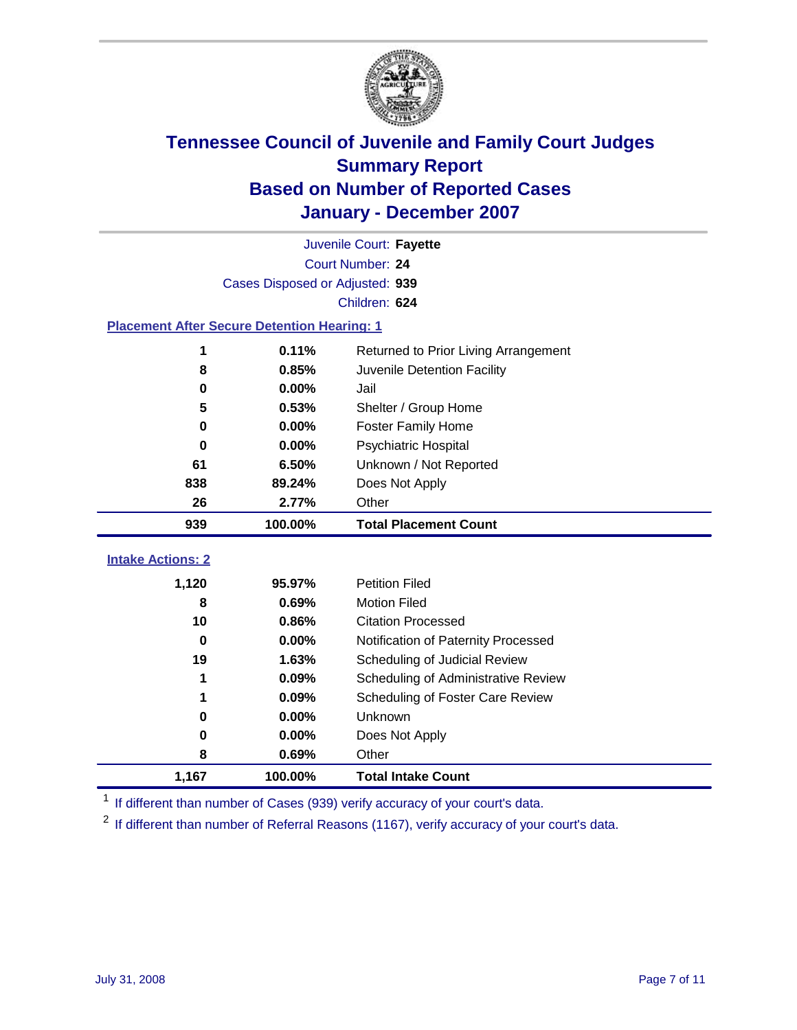

|                                                    | Juvenile Court: Fayette         |                                      |  |  |  |
|----------------------------------------------------|---------------------------------|--------------------------------------|--|--|--|
| Court Number: 24                                   |                                 |                                      |  |  |  |
|                                                    | Cases Disposed or Adjusted: 939 |                                      |  |  |  |
|                                                    |                                 | Children: 624                        |  |  |  |
| <b>Placement After Secure Detention Hearing: 1</b> |                                 |                                      |  |  |  |
| 1                                                  | 0.11%                           | Returned to Prior Living Arrangement |  |  |  |
| 8                                                  | 0.85%                           | Juvenile Detention Facility          |  |  |  |
| 0                                                  | 0.00%                           | Jail                                 |  |  |  |
| 5                                                  | 0.53%                           | Shelter / Group Home                 |  |  |  |
| 0                                                  | 0.00%                           | <b>Foster Family Home</b>            |  |  |  |
| $\bf{0}$                                           | 0.00%                           | Psychiatric Hospital                 |  |  |  |
| 61                                                 | 6.50%                           | Unknown / Not Reported               |  |  |  |
| 838                                                | 89.24%                          | Does Not Apply                       |  |  |  |
| 26                                                 | 2.77%                           | Other                                |  |  |  |
| 939                                                | 100.00%                         | <b>Total Placement Count</b>         |  |  |  |
| <b>Intake Actions: 2</b>                           |                                 |                                      |  |  |  |
|                                                    |                                 |                                      |  |  |  |
| 1,120                                              | 95.97%                          | <b>Petition Filed</b>                |  |  |  |
| 8                                                  | 0.69%                           | <b>Motion Filed</b>                  |  |  |  |
| 10                                                 | 0.86%                           | <b>Citation Processed</b>            |  |  |  |
| 0                                                  | 0.00%                           | Notification of Paternity Processed  |  |  |  |
| 19                                                 | 1.63%                           | Scheduling of Judicial Review        |  |  |  |
| 1                                                  | 0.09%                           | Scheduling of Administrative Review  |  |  |  |
| 1                                                  | 0.09%                           | Scheduling of Foster Care Review     |  |  |  |
| $\bf{0}$                                           | 0.00%                           | Unknown                              |  |  |  |
| 0                                                  | 0.00%                           | Does Not Apply                       |  |  |  |
| 8                                                  | 0.69%                           | Other                                |  |  |  |
| 1,167                                              | 100.00%                         | <b>Total Intake Count</b>            |  |  |  |

<sup>1</sup> If different than number of Cases (939) verify accuracy of your court's data.

<sup>2</sup> If different than number of Referral Reasons (1167), verify accuracy of your court's data.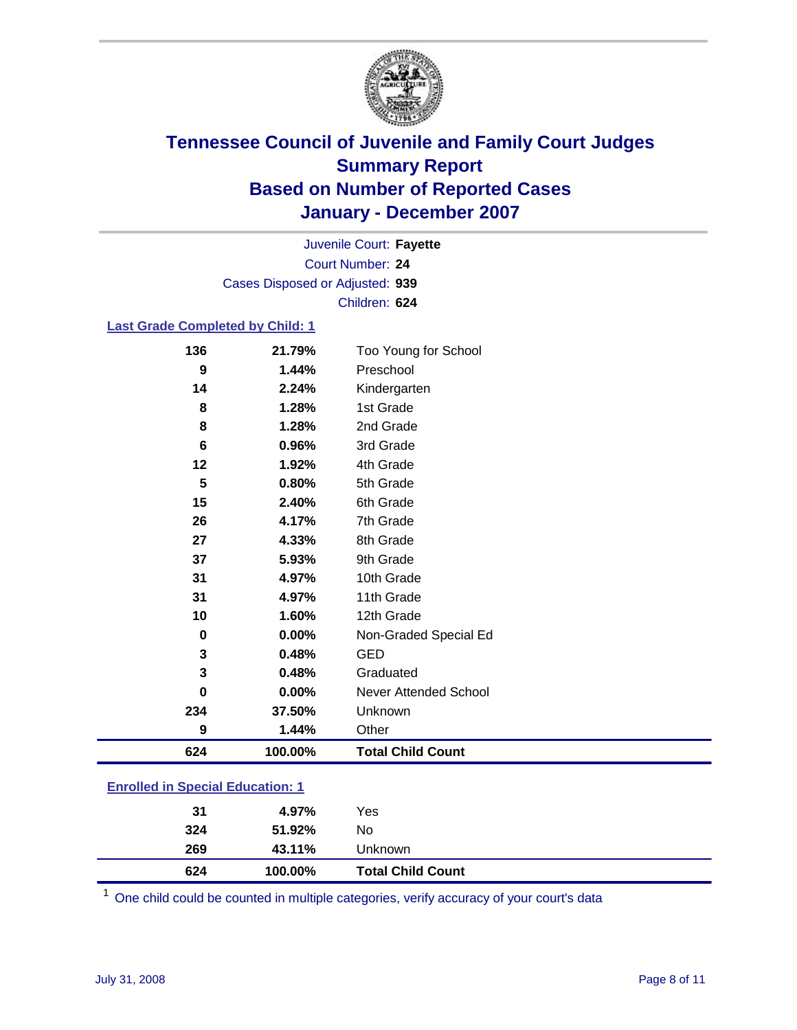

Court Number: **24** Juvenile Court: **Fayette** Cases Disposed or Adjusted: **939** Children: **624**

### **Last Grade Completed by Child: 1**

| 136 | 21.79%   | Too Young for School     |
|-----|----------|--------------------------|
| 9   | 1.44%    | Preschool                |
| 14  | 2.24%    | Kindergarten             |
| 8   | 1.28%    | 1st Grade                |
| 8   | 1.28%    | 2nd Grade                |
| 6   | 0.96%    | 3rd Grade                |
| 12  | 1.92%    | 4th Grade                |
| 5   | 0.80%    | 5th Grade                |
| 15  | 2.40%    | 6th Grade                |
| 26  | 4.17%    | 7th Grade                |
| 27  | 4.33%    | 8th Grade                |
| 37  | 5.93%    | 9th Grade                |
| 31  | 4.97%    | 10th Grade               |
| 31  | 4.97%    | 11th Grade               |
| 10  | 1.60%    | 12th Grade               |
| 0   | $0.00\%$ | Non-Graded Special Ed    |
| 3   | 0.48%    | <b>GED</b>               |
| 3   | 0.48%    | Graduated                |
| 0   | 0.00%    | Never Attended School    |
| 234 | 37.50%   | Unknown                  |
| 9   | 1.44%    | Other                    |
| 624 | 100.00%  | <b>Total Child Count</b> |

### **Enrolled in Special Education: 1**

| 624 | 100.00% | <b>Total Child Count</b> |  |
|-----|---------|--------------------------|--|
| 269 | 43.11%  | Unknown                  |  |
| 324 | 51.92%  | No                       |  |
| 31  | 4.97%   | Yes                      |  |
|     |         |                          |  |

<sup>1</sup> One child could be counted in multiple categories, verify accuracy of your court's data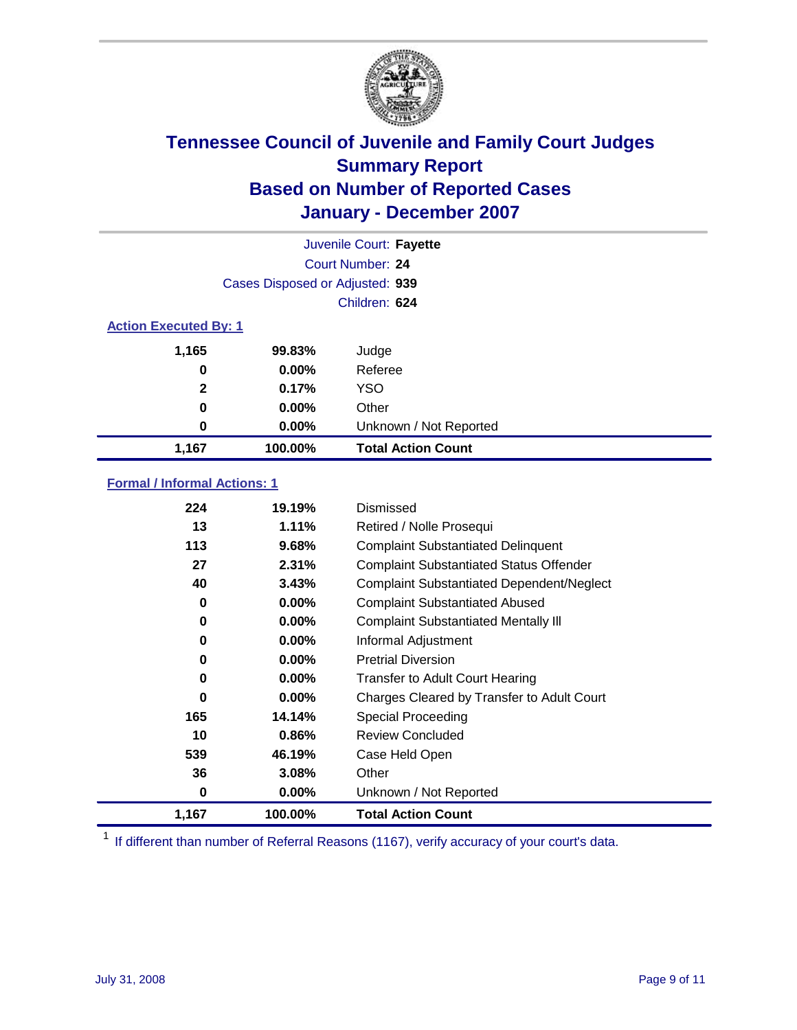

| Juvenile Court: Fayette      |                                 |                           |  |  |
|------------------------------|---------------------------------|---------------------------|--|--|
|                              | Court Number: 24                |                           |  |  |
|                              | Cases Disposed or Adjusted: 939 |                           |  |  |
|                              |                                 | Children: 624             |  |  |
| <b>Action Executed By: 1</b> |                                 |                           |  |  |
| 1,165                        | 99.83%                          | Judge                     |  |  |
| 0                            | $0.00\%$                        | Referee                   |  |  |
| $\mathbf{2}$                 | 0.17%                           | <b>YSO</b>                |  |  |
| 0                            | $0.00\%$                        | Other                     |  |  |
| 0                            | $0.00\%$                        | Unknown / Not Reported    |  |  |
| 1,167                        | 100.00%                         | <b>Total Action Count</b> |  |  |

### **Formal / Informal Actions: 1**

| 224   | 19.19%   | Dismissed                                        |
|-------|----------|--------------------------------------------------|
| 13    | 1.11%    | Retired / Nolle Prosequi                         |
| 113   | 9.68%    | <b>Complaint Substantiated Delinquent</b>        |
| 27    | 2.31%    | <b>Complaint Substantiated Status Offender</b>   |
| 40    | 3.43%    | <b>Complaint Substantiated Dependent/Neglect</b> |
| 0     | $0.00\%$ | <b>Complaint Substantiated Abused</b>            |
| 0     | $0.00\%$ | <b>Complaint Substantiated Mentally III</b>      |
| 0     | $0.00\%$ | Informal Adjustment                              |
| 0     | $0.00\%$ | <b>Pretrial Diversion</b>                        |
| 0     | $0.00\%$ | <b>Transfer to Adult Court Hearing</b>           |
| 0     | $0.00\%$ | Charges Cleared by Transfer to Adult Court       |
| 165   | 14.14%   | Special Proceeding                               |
| 10    | 0.86%    | <b>Review Concluded</b>                          |
| 539   | 46.19%   | Case Held Open                                   |
| 36    | 3.08%    | Other                                            |
| 0     | 0.00%    | Unknown / Not Reported                           |
| 1,167 | 100.00%  | <b>Total Action Count</b>                        |

<sup>1</sup> If different than number of Referral Reasons (1167), verify accuracy of your court's data.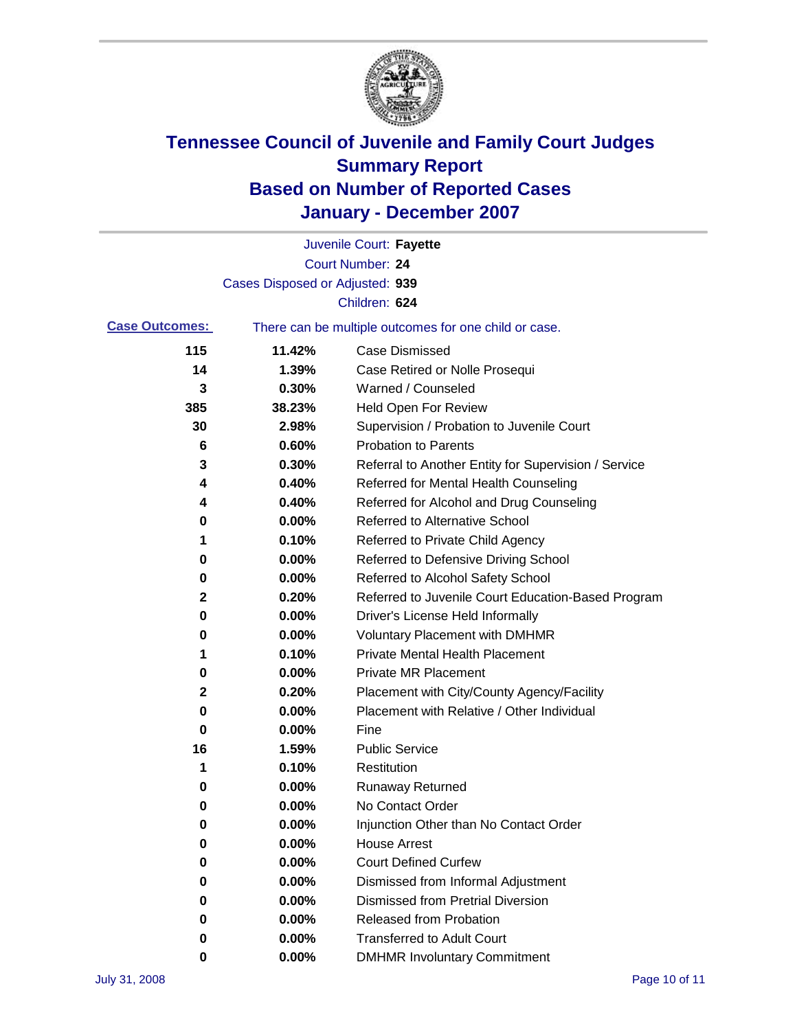

|                       |                                 | Juvenile Court: Fayette                               |
|-----------------------|---------------------------------|-------------------------------------------------------|
|                       |                                 | <b>Court Number: 24</b>                               |
|                       | Cases Disposed or Adjusted: 939 |                                                       |
|                       |                                 | Children: 624                                         |
| <b>Case Outcomes:</b> |                                 | There can be multiple outcomes for one child or case. |
| 115                   | 11.42%                          | <b>Case Dismissed</b>                                 |
| 14                    | 1.39%                           | Case Retired or Nolle Prosequi                        |
| 3                     | 0.30%                           | Warned / Counseled                                    |
| 385                   | 38.23%                          | Held Open For Review                                  |
| 30                    | 2.98%                           | Supervision / Probation to Juvenile Court             |
| 6                     | 0.60%                           | <b>Probation to Parents</b>                           |
| 3                     | 0.30%                           | Referral to Another Entity for Supervision / Service  |
| 4                     | 0.40%                           | Referred for Mental Health Counseling                 |
| 4                     | 0.40%                           | Referred for Alcohol and Drug Counseling              |
| 0                     | 0.00%                           | Referred to Alternative School                        |
| 1                     | 0.10%                           | Referred to Private Child Agency                      |
| 0                     | 0.00%                           | Referred to Defensive Driving School                  |
| 0                     | 0.00%                           | Referred to Alcohol Safety School                     |
| 2                     | 0.20%                           | Referred to Juvenile Court Education-Based Program    |
| 0                     | 0.00%                           | Driver's License Held Informally                      |
| 0                     | 0.00%                           | <b>Voluntary Placement with DMHMR</b>                 |
| 1                     | 0.10%                           | <b>Private Mental Health Placement</b>                |
| 0                     | 0.00%                           | <b>Private MR Placement</b>                           |
| 2                     | 0.20%                           | Placement with City/County Agency/Facility            |
| 0                     | 0.00%                           | Placement with Relative / Other Individual            |
| 0                     | 0.00%                           | Fine                                                  |
| 16                    | 1.59%                           | <b>Public Service</b>                                 |
| 1                     | 0.10%                           | Restitution                                           |
| 0                     | 0.00%                           | <b>Runaway Returned</b>                               |
| 0                     | 0.00%                           | No Contact Order                                      |
| 0                     | 0.00%                           | Injunction Other than No Contact Order                |
| 0                     | 0.00%                           | <b>House Arrest</b>                                   |
| 0                     | 0.00%                           | <b>Court Defined Curfew</b>                           |
| 0                     | 0.00%                           | Dismissed from Informal Adjustment                    |
| 0                     | 0.00%                           | <b>Dismissed from Pretrial Diversion</b>              |
| 0                     | 0.00%                           | <b>Released from Probation</b>                        |
| 0                     | 0.00%                           | <b>Transferred to Adult Court</b>                     |
| 0                     | 0.00%                           | <b>DMHMR Involuntary Commitment</b>                   |